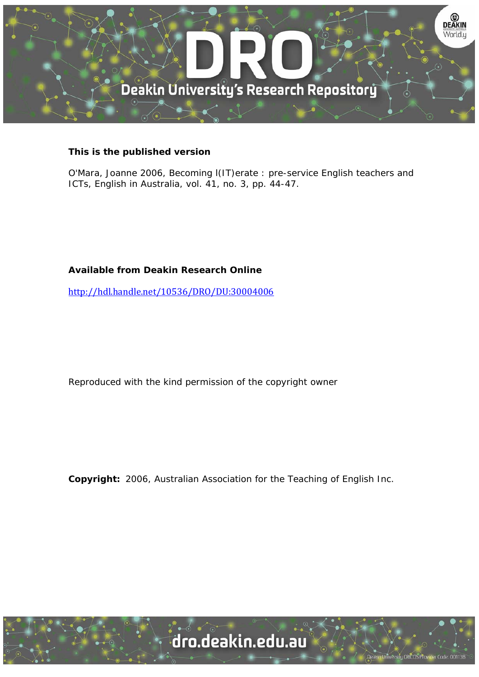

## **This is the published version**

O'Mara, Joanne 2006, Becoming l(IT)erate : pre-service English teachers and ICTs, English in Australia, vol. 41, no. 3, pp. 44-47.

## **Available from Deakin Research Online**

http://hdl.handle.net/10536/DRO/DU:30004006

Reproduced with the kind permission of the copyright owner

**Copyright:** 2006, Australian Association for the Teaching of English Inc.

University CRICOS Provider Code: 00113E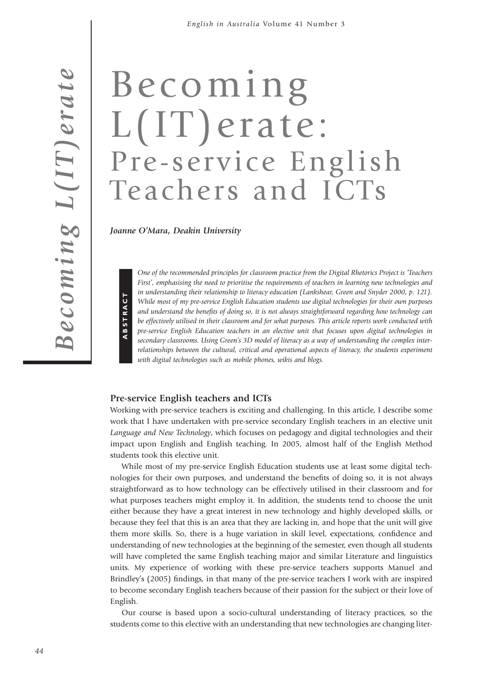# Becoming L(IT)erate: Pre-service English Teachers and ICTs

*Joanne O'Mara, Deakin University*

**AB S T R**

**A C T**

*One of the recommended principles for classroom practice from the Digital Rhetorics Project is 'Teachers First', emphasising the need to prioritise the requirements of teachers in learning new technologies and in understanding their relationship to literacy education (Lankshear, Green and Snyder 2000, p. 121). While most of my pre-service English Education students use digital technologies for their own purposes and understand the benefits of doing so, it is not always straightforward regarding how technology can be effectively utilised in their classroom and for what purposes. This article reports work conducted with pre-service English Education teachers in an elective unit that focuses upon digital technologies in secondary classrooms. Using Green's 3D model of literacy as a way of understanding the complex interrelationships between the cultural, critical and operational aspects of literacy, the students experiment with digital technologies such as mobile phones, wikis and blogs.*

#### **Pre-service English teachers and ICTs**

Working with pre-service teachers is exciting and challenging. In this article, I describe some work that I have undertaken with pre-service secondary English teachers in an elective unit *Language and New Technology*, which focuses on pedagogy and digital technologies and their impact upon English and English teaching. In 2005, almost half of the English Method students took this elective unit.

While most of my pre-service English Education students use at least some digital technologies for their own purposes, and understand the benefits of doing so, it is not always straightforward as to how technology can be effectively utilised in their classroom and for what purposes teachers might employ it. In addition, the students tend to choose the unit either because they have a great interest in new technology and highly developed skills, or because they feel that this is an area that they are lacking in, and hope that the unit will give them more skills. So, there is a huge variation in skill level, expectations, confidence and understanding of new technologies at the beginning of the semester, even though all students will have completed the same English teaching major and similar Literature and linguistics units. My experience of working with these pre-service teachers supports Manuel and Brindley's (2005) findings, in that many of the pre-service teachers I work with are inspired to become secondary English teachers because of their passion for the subject or their love of English.

Our course is based upon a socio-cultural understanding of literacy practices, so the students come to this elective with an understanding that new technologies are changing liter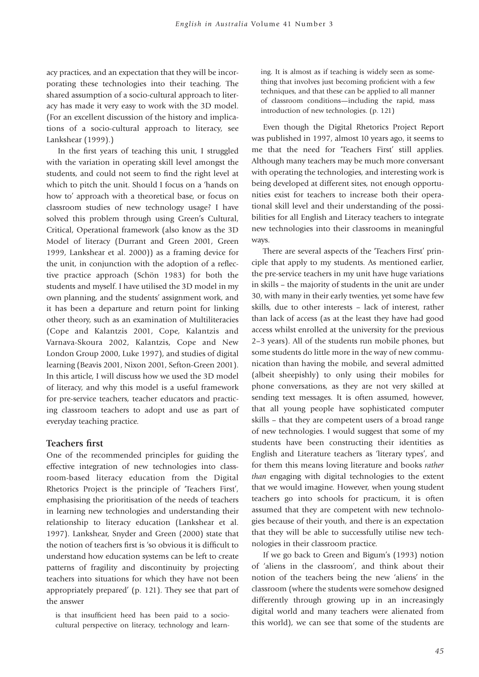acy practices, and an expectation that they will be incorporating these technologies into their teaching. The shared assumption of a socio-cultural approach to literacy has made it very easy to work with the 3D model. (For an excellent discussion of the history and implications of a socio-cultural approach to literacy, see Lankshear (1999).)

In the first years of teaching this unit, I struggled with the variation in operating skill level amongst the students, and could not seem to find the right level at which to pitch the unit. Should I focus on a 'hands on how to' approach with a theoretical base, or focus on classroom studies of new technology usage? I have solved this problem through using Green's Cultural, Critical, Operational framework (also know as the 3D Model of literacy (Durrant and Green 2001, Green 1999, Lankshear et al. 2000)) as a framing device for the unit, in conjunction with the adoption of a reflective practice approach (Schön 1983) for both the students and myself. I have utilised the 3D model in my own planning, and the students' assignment work, and it has been a departure and return point for linking other theory, such as an examination of Multiliteracies (Cope and Kalantzis 2001, Cope, Kalantzis and Varnava-Skoura 2002, Kalantzis, Cope and New London Group 2000, Luke 1997), and studies of digital learning (Beavis 2001, Nixon 2001, Sefton-Green 2001). In this article, I will discuss how we used the 3D model of literacy, and why this model is a useful framework for pre-service teachers, teacher educators and practicing classroom teachers to adopt and use as part of everyday teaching practice.

#### **Teachers first**

One of the recommended principles for guiding the effective integration of new technologies into classroom-based literacy education from the Digital Rhetorics Project is the principle of 'Teachers First', emphasising the prioritisation of the needs of teachers in learning new technologies and understanding their relationship to literacy education (Lankshear et al. 1997). Lankshear, Snyder and Green (2000) state that the notion of teachers first is 'so obvious it is difficult to understand how education systems can be left to create patterns of fragility and discontinuity by projecting teachers into situations for which they have not been appropriately prepared' (p. 121). They see that part of the answer

is that insufficient heed has been paid to a sociocultural perspective on literacy, technology and learn-

ing. It is almost as if teaching is widely seen as something that involves just becoming proficient with a few techniques, and that these can be applied to all manner of classroom conditions—including the rapid, mass introduction of new technologies. (p. 121)

Even though the Digital Rhetorics Project Report was published in 1997, almost 10 years ago, it seems to me that the need for 'Teachers First' still applies. Although many teachers may be much more conversant with operating the technologies, and interesting work is being developed at different sites, not enough opportunities exist for teachers to increase both their operational skill level and their understanding of the possibilities for all English and Literacy teachers to integrate new technologies into their classrooms in meaningful ways.

There are several aspects of the 'Teachers First' principle that apply to my students. As mentioned earlier, the pre-service teachers in my unit have huge variations in skills – the majority of students in the unit are under 30, with many in their early twenties, yet some have few skills, due to other interests – lack of interest, rather than lack of access (as at the least they have had good access whilst enrolled at the university for the previous 2–3 years). All of the students run mobile phones, but some students do little more in the way of new communication than having the mobile, and several admitted (albeit sheepishly) to only using their mobiles for phone conversations, as they are not very skilled at sending text messages. It is often assumed, however, that all young people have sophisticated computer skills – that they are competent users of a broad range of new technologies. I would suggest that some of my students have been constructing their identities as English and Literature teachers as 'literary types', and for them this means loving literature and books *rather than* engaging with digital technologies to the extent that we would imagine. However, when young student teachers go into schools for practicum, it is often assumed that they are competent with new technologies because of their youth, and there is an expectation that they will be able to successfully utilise new technologies in their classroom practice.

If we go back to Green and Bigum's (1993) notion of 'aliens in the classroom', and think about their notion of the teachers being the new 'aliens' in the classroom (where the students were somehow designed differently through growing up in an increasingly digital world and many teachers were alienated from this world), we can see that some of the students are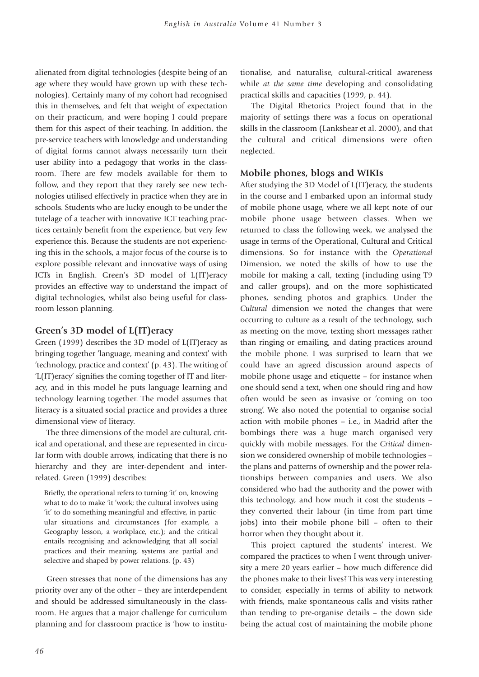alienated from digital technologies (despite being of an age where they would have grown up with these technologies). Certainly many of my cohort had recognised this in themselves, and felt that weight of expectation on their practicum, and were hoping I could prepare them for this aspect of their teaching. In addition, the pre-service teachers with knowledge and understanding of digital forms cannot always necessarily turn their user ability into a pedagogy that works in the classroom. There are few models available for them to follow, and they report that they rarely see new technologies utilised effectively in practice when they are in schools. Students who are lucky enough to be under the tutelage of a teacher with innovative ICT teaching practices certainly benefit from the experience, but very few experience this. Because the students are not experiencing this in the schools, a major focus of the course is to explore possible relevant and innovative ways of using ICTs in English. Green's 3D model of L(IT)eracy provides an effective way to understand the impact of digital technologies, whilst also being useful for classroom lesson planning.

## **Green's 3D model of L(IT)eracy**

Green (1999) describes the 3D model of L(IT)eracy as bringing together 'language, meaning and context' with 'technology, practice and context' (p. 43). The writing of 'L(IT)eracy' signifies the coming together of IT and literacy, and in this model he puts language learning and technology learning together. The model assumes that literacy is a situated social practice and provides a three dimensional view of literacy.

The three dimensions of the model are cultural, critical and operational, and these are represented in circular form with double arrows, indicating that there is no hierarchy and they are inter-dependent and interrelated. Green (1999) describes:

Briefly, the operational refers to turning 'it' on, knowing what to do to make 'it 'work; the cultural involves using 'it' to do something meaningful and effective, in particular situations and circumstances (for example, a Geography lesson, a workplace, etc.); and the critical entails recognising and acknowledging that all social practices and their meaning, systems are partial and selective and shaped by power relations. (p. 43)

Green stresses that none of the dimensions has any priority over any of the other – they are interdependent and should be addressed simultaneously in the classroom. He argues that a major challenge for curriculum planning and for classroom practice is 'how to institutionalise, and naturalise, cultural-critical awareness while *at the same time* developing and consolidating practical skills and capacities (1999, p. 44).

The Digital Rhetorics Project found that in the majority of settings there was a focus on operational skills in the classroom (Lankshear et al. 2000), and that the cultural and critical dimensions were often neglected.

## **Mobile phones, blogs and WIKIs**

After studying the 3D Model of L(IT)eracy, the students in the course and I embarked upon an informal study of mobile phone usage, where we all kept note of our mobile phone usage between classes. When we returned to class the following week, we analysed the usage in terms of the Operational, Cultural and Critical dimensions. So for instance with the *Operational* Dimension, we noted the skills of how to use the mobile for making a call, texting (including using T9 and caller groups), and on the more sophisticated phones, sending photos and graphics. Under the *Cultural* dimension we noted the changes that were occurring to culture as a result of the technology, such as meeting on the move, texting short messages rather than ringing or emailing, and dating practices around the mobile phone. I was surprised to learn that we could have an agreed discussion around aspects of mobile phone usage and etiquette – for instance when one should send a text, when one should ring and how often would be seen as invasive or 'coming on too strong'. We also noted the potential to organise social action with mobile phones – i.e., in Madrid after the bombings there was a huge march organised very quickly with mobile messages. For the *Critical* dimension we considered ownership of mobile technologies – the plans and patterns of ownership and the power relationships between companies and users. We also considered who had the authority and the power with this technology, and how much it cost the students – they converted their labour (in time from part time jobs) into their mobile phone bill – often to their horror when they thought about it.

This project captured the students' interest. We compared the practices to when I went through university a mere 20 years earlier – how much difference did the phones make to their lives? This was very interesting to consider, especially in terms of ability to network with friends, make spontaneous calls and visits rather than tending to pre-organise details – the down side being the actual cost of maintaining the mobile phone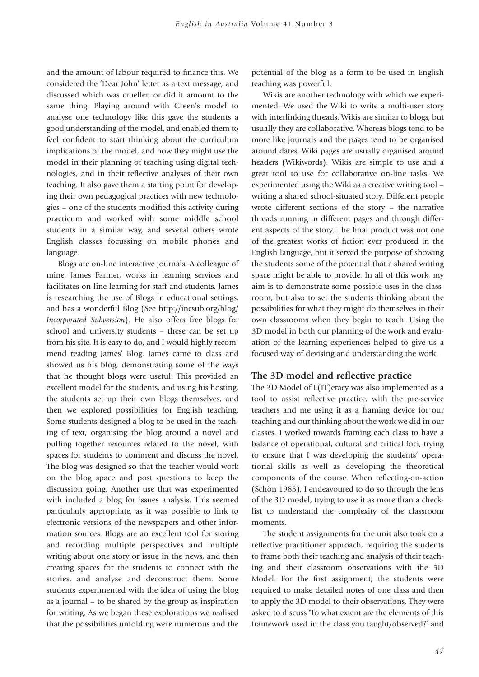and the amount of labour required to finance this. We considered the 'Dear John' letter as a text message, and discussed which was crueller, or did it amount to the same thing. Playing around with Green's model to analyse one technology like this gave the students a good understanding of the model, and enabled them to feel confident to start thinking about the curriculum implications of the model, and how they might use the model in their planning of teaching using digital technologies, and in their reflective analyses of their own teaching. It also gave them a starting point for developing their own pedagogical practices with new technologies – one of the students modified this activity during practicum and worked with some middle school students in a similar way, and several others wrote English classes focussing on mobile phones and language.

Blogs are on-line interactive journals. A colleague of mine, James Farmer, works in learning services and facilitates on-line learning for staff and students. James is researching the use of Blogs in educational settings, and has a wonderful Blog (See http://incsub.org/blog/ *Incorporated Subversion*). He also offers free blogs for school and university students – these can be set up from his site. It is easy to do, and I would highly recommend reading James' Blog. James came to class and showed us his blog, demonstrating some of the ways that he thought blogs were useful. This provided an excellent model for the students, and using his hosting, the students set up their own blogs themselves, and then we explored possibilities for English teaching. Some students designed a blog to be used in the teaching of text, organising the blog around a novel and pulling together resources related to the novel, with spaces for students to comment and discuss the novel. The blog was designed so that the teacher would work on the blog space and post questions to keep the discussion going. Another use that was experimented with included a blog for issues analysis. This seemed particularly appropriate, as it was possible to link to electronic versions of the newspapers and other information sources. Blogs are an excellent tool for storing and recording multiple perspectives and multiple writing about one story or issue in the news, and then creating spaces for the students to connect with the stories, and analyse and deconstruct them. Some students experimented with the idea of using the blog as a journal – to be shared by the group as inspiration for writing. As we began these explorations we realised that the possibilities unfolding were numerous and the potential of the blog as a form to be used in English teaching was powerful.

Wikis are another technology with which we experimented. We used the Wiki to write a multi-user story with interlinking threads. Wikis are similar to blogs, but usually they are collaborative. Whereas blogs tend to be more like journals and the pages tend to be organised around dates, Wiki pages are usually organised around headers (Wikiwords). Wikis are simple to use and a great tool to use for collaborative on-line tasks. We experimented using the Wiki as a creative writing tool – writing a shared school-situated story. Different people wrote different sections of the story – the narrative threads running in different pages and through different aspects of the story. The final product was not one of the greatest works of fiction ever produced in the English language, but it served the purpose of showing the students some of the potential that a shared writing space might be able to provide. In all of this work, my aim is to demonstrate some possible uses in the classroom, but also to set the students thinking about the possibilities for what they might do themselves in their own classrooms when they begin to teach. Using the 3D model in both our planning of the work and evaluation of the learning experiences helped to give us a focused way of devising and understanding the work.

#### **The 3D model and reflective practice**

The 3D Model of L(IT)eracy was also implemented as a tool to assist reflective practice, with the pre-service teachers and me using it as a framing device for our teaching and our thinking about the work we did in our classes. I worked towards framing each class to have a balance of operational, cultural and critical foci, trying to ensure that I was developing the students' operational skills as well as developing the theoretical components of the course. When reflecting-on-action (Schön 1983), I endeavoured to do so through the lens of the 3D model, trying to use it as more than a checklist to understand the complexity of the classroom moments.

The student assignments for the unit also took on a reflective practitioner approach, requiring the students to frame both their teaching and analysis of their teaching and their classroom observations with the 3D Model. For the first assignment, the students were required to make detailed notes of one class and then to apply the 3D model to their observations. They were asked to discuss 'To what extent are the elements of this framework used in the class you taught/observed?' and